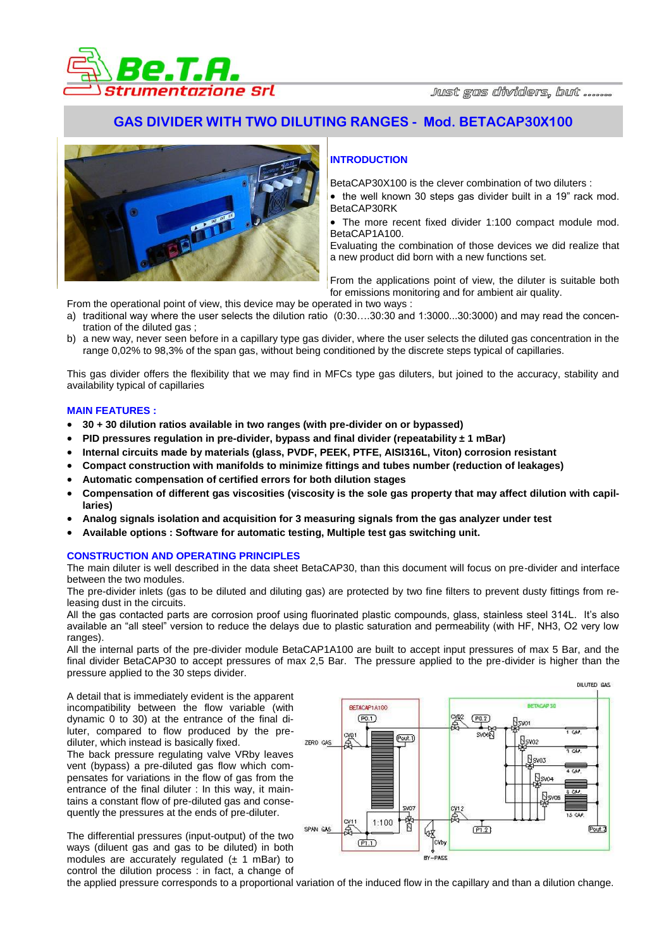

# **GAS DIVIDER WITH TWO DILUTING RANGES - Mod. BETACAP30X100**



## **INTRODUCTION**

BetaCAP30X100 is the clever combination of two diluters :

• the well known 30 steps gas divider built in a 19" rack mod. BetaCAP30RK

 The more recent fixed divider 1:100 compact module mod. BetaCAP1A100.

Evaluating the combination of those devices we did realize that a new product did born with a new functions set.

From the applications point of view, the diluter is suitable both for emissions monitoring and for ambient air quality.

From the operational point of view, this device may be operated in two ways :

- a) traditional way where the user selects the dilution ratio (0:30….30:30 and 1:3000...30:3000) and may read the concentration of the diluted gas ;
- b) a new way, never seen before in a capillary type gas divider, where the user selects the diluted gas concentration in the range 0,02% to 98,3% of the span gas, without being conditioned by the discrete steps typical of capillaries.

This gas divider offers the flexibility that we may find in MFCs type gas diluters, but joined to the accuracy, stability and availability typical of capillaries

#### **MAIN FEATURES :**

- **30 + 30 dilution ratios available in two ranges (with pre-divider on or bypassed)**
- **PID pressures regulation in pre-divider, bypass and final divider (repeatability ± 1 mBar)**
- **Internal circuits made by materials (glass, PVDF, PEEK, PTFE, AISI316L, Viton) corrosion resistant**
- **Compact construction with manifolds to minimize fittings and tubes number (reduction of leakages)**
- **Automatic compensation of certified errors for both dilution stages**
- **Compensation of different gas viscosities (viscosity is the sole gas property that may affect dilution with capillaries)**
- **Analog signals isolation and acquisition for 3 measuring signals from the gas analyzer under test**
- **Available options : Software for automatic testing, Multiple test gas switching unit.**

#### **CONSTRUCTION AND OPERATING PRINCIPLES**

The main diluter is well described in the data sheet BetaCAP30, than this document will focus on pre-divider and interface between the two modules.

The pre-divider inlets (gas to be diluted and diluting gas) are protected by two fine filters to prevent dusty fittings from releasing dust in the circuits.

All the gas contacted parts are corrosion proof using fluorinated plastic compounds, glass, stainless steel 314L. It's also available an "all steel" version to reduce the delays due to plastic saturation and permeability (with HF, NH3, O2 very low ranges).

All the internal parts of the pre-divider module BetaCAP1A100 are built to accept input pressures of max 5 Bar, and the final divider BetaCAP30 to accept pressures of max 2,5 Bar. The pressure applied to the pre-divider is higher than the pressure applied to the 30 steps divider.

A detail that is immediately evident is the apparent incompatibility between the flow variable (with dynamic 0 to 30) at the entrance of the final diluter, compared to flow produced by the prediluter, which instead is basically fixed. The back pressure regulating valve VRby leaves vent (bypass) a pre-diluted gas flow which compensates for variations in the flow of gas from the entrance of the final diluter : In this way, it maintains a constant flow of pre-diluted gas and consequently the pressures at the ends of pre-diluter.

The differential pressures (input-output) of the two ways (diluent gas and gas to be diluted) in both modules are accurately regulated  $(\pm 1 \text{ mBar})$  to control the dilution process : in fact, a change of



the applied pressure corresponds to a proportional variation of the induced flow in the capillary and than a dilution change.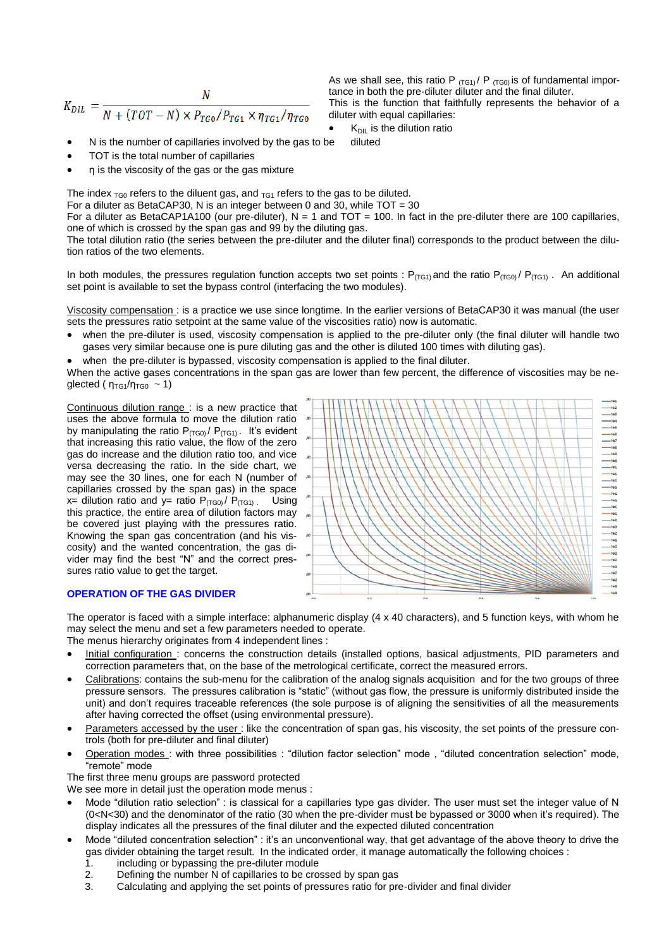$$
K_{DIL} = \frac{N}{N + (TOT - N) \times P_{TG0}/P_{TG1} \times \eta_{TG1}/\eta_{TG0}}
$$

As we shall see, this ratio P  $_{(TG1)}/P_{(TG0)}$  is of fundamental importance in both the pre-diluter diluter and the final diluter. This is the function that faithfully represents the behavior of a diluter with equal capillaries:

- $K<sub>DIL</sub>$  is the dilution ratio
- N is the number of capillaries involved by the gas to be diluted
- TOT is the total number of capillaries
- η is the viscosity of the gas or the gas mixture

The index  $_{\text{TG}0}$  refers to the diluent gas, and  $_{\text{TG}1}$  refers to the gas to be diluted.

For a diluter as BetaCAP30, N is an integer between 0 and 30, while TOT = 30

For a diluter as BetaCAP1A100 (our pre-diluter),  $N = 1$  and TOT = 100. In fact in the pre-diluter there are 100 capillaries, one of which is crossed by the span gas and 99 by the diluting gas.

The total dilution ratio (the series between the pre-diluter and the diluter final) corresponds to the product between the dilution ratios of the two elements.

In both modules, the pressures regulation function accepts two set points :  $P_{(TG1)}$  and the ratio  $P_{(TG0)}$  /  $P_{(TG1)}$ . An additional set point is available to set the bypass control (interfacing the two modules).

Viscosity compensation : is a practice we use since longtime. In the earlier versions of BetaCAP30 it was manual (the user sets the pressures ratio setpoint at the same value of the viscosities ratio) now is automatic.

- when the pre-diluter is used, viscosity compensation is applied to the pre-diluter only (the final diluter will handle two gases very similar because one is pure diluting gas and the other is diluted 100 times with diluting gas).
- when the pre-diluter is bypassed, viscosity compensation is applied to the final diluter.

When the active gases concentrations in the span gas are lower than few percent, the difference of viscosities may be neglected ( $\eta_{\text{TG1}}/\eta_{\text{TG0}} \sim 1$ )

Continuous dilution range : is a new practice that uses the above formula to move the dilution ratio by manipulating the ratio  $P_{(TG0)}/P_{(TG1)}$ . It's evident that increasing this ratio value, the flow of the zero gas do increase and the dilution ratio too, and vice versa decreasing the ratio. In the side chart, we may see the 30 lines, one for each N (number of capillaries crossed by the span gas) in the space x= dilution ratio and y= ratio  $P_{(TG0)}/P_{(TG1)}$  Using this practice, the entire area of dilution factors may be covered just playing with the pressures ratio. Knowing the span gas concentration (and his viscosity) and the wanted concentration, the gas divider may find the best "N" and the correct pressures ratio value to get the target.



### **OPERATION OF THE GAS DIVIDER**

The operator is faced with a simple interface: alphanumeric display (4 x 40 characters), and 5 function keys, with whom he may select the menu and set a few parameters needed to operate.

The menus hierarchy originates from 4 independent lines :

- Initial configuration : concerns the construction details (installed options, basical adjustments, PID parameters and correction parameters that, on the base of the metrological certificate, correct the measured errors.
- Calibrations: contains the sub-menu for the calibration of the analog signals acquisition and for the two groups of three pressure sensors. The pressures calibration is "static" (without gas flow, the pressure is uniformly distributed inside the unit) and don't requires traceable references (the sole purpose is of aligning the sensitivities of all the measurements after having corrected the offset (using environmental pressure).
- Parameters accessed by the user : like the concentration of span gas, his viscosity, the set points of the pressure controls (both for pre-diluter and final diluter)
- Operation modes : with three possibilities : "dilution factor selection" mode , "diluted concentration selection" mode, "remote" mode

The first three menu groups are password protected

We see more in detail just the operation mode menus :

- Mode "dilution ratio selection" : is classical for a capillaries type gas divider. The user must set the integer value of N (0<N<30) and the denominator of the ratio (30 when the pre-divider must be bypassed or 3000 when it's required). The display indicates all the pressures of the final diluter and the expected diluted concentration
- Mode "diluted concentration selection" : it's an unconventional way, that get advantage of the above theory to drive the gas divider obtaining the target result. In the indicated order, it manage automatically the following choices :
	- 1. including or bypassing the pre-diluter module
	- 2. Defining the number N of capillaries to be crossed by span gas
	- 3. Calculating and applying the set points of pressures ratio for pre-divider and final divider